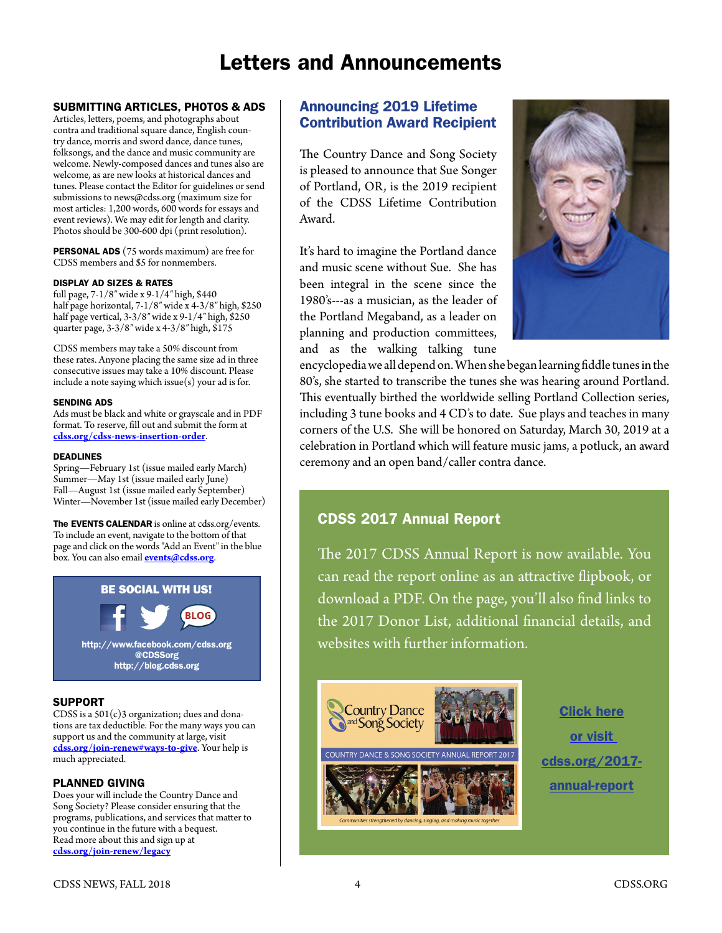# Letters and Announcements

### SUBMITTING ARTICLES, PHOTOS & ADS

Articles, letters, poems, and photographs about contra and traditional square dance, English country dance, morris and sword dance, dance tunes, folksongs, and the dance and music community are welcome. Newly-composed dances and tunes also are welcome, as are new looks at historical dances and tunes. Please contact the Editor for guidelines or send submissions to [news@cdss.org](mailto:news@cdss.org) (maximum size for most articles: 1,200 words, 600 words for essays and event reviews). We may edit for length and clarity. Photos should be 300-600 dpi (print resolution).

PERSONAL ADS (75 words maximum) are free for CDSS members and \$5 for nonmembers.

#### DISPLAY AD SIZES & RATES

full page, 7-1/8″ wide x 9-1/4″ high, \$440 half page horizontal, 7-1/8″ wide x 4-3/8″ high, \$250 half page vertical, 3-3/8″ wide x 9-1/4″ high, \$250 quarter page, 3-3/8″ wide x 4-3/8″ high, \$175

CDSS members may take a 50% discount from these rates. Anyone placing the same size ad in three consecutive issues may take a 10% discount. Please include a note saying which issue $(s)$  your ad is for.

#### SENDING ADS

Ads must be black and white or grayscale and in PDF format. To reserve, fill out and submit the form at **[cdss.org/cdss-news-insertion-order](https://www.cdss.org/cdss-news-insertion-order)**.

#### DEADLINES

Spring—February 1st (issue mailed early March) Summer—May 1st (issue mailed early June) Fall—August 1st (issue mailed early September) Winter—November 1st (issue mailed early December)

The EVENTS CALENDAR is online at cdss.org/events. To include an event, navigate to the bottom of that page and click on the words "Add an Event" in the blue box. You can also email **[events@cdss.org](mailto:events@cdss.org)**.



### **SUPPORT**

CDSS is a  $501(c)3$  organization; dues and donations are tax deductible. For the many ways you can support us and the community at large, visit **[cdss.org/join-renew#ways-to-give](https://www.cdss.org/join-renew#ways-to-give)**. Your help is much appreciated.

### PLANNED GIVING

Does your will include the Country Dance and Song Society? Please consider ensuring that the programs, publications, and services that matter to you continue in the future with a bequest. Read more about this and sign up at **[cdss.org/join-renew/legacy](https://cdss.org/join-renew/legacy)**

### Announcing 2019 Lifetime Contribution Award Recipient

The Country Dance and Song Society is pleased to announce that Sue Songer of Portland, OR, is the 2019 recipient of the CDSS Lifetime Contribution Award.

It's hard to imagine the Portland dance and music scene without Sue. She has been integral in the scene since the 1980's---as a musician, as the leader of the Portland Megaband, as a leader on planning and production committees, and as the walking talking tune



encyclopedia we all depend on. When she began learning fiddle tunes in the 80's, she started to transcribe the tunes she was hearing around Portland. This eventually birthed the worldwide selling Portland Collection series, including 3 tune books and 4 CD's to date. Sue plays and teaches in many corners of the U.S. She will be honored on Saturday, March 30, 2019 at a celebration in Portland which will feature music jams, a potluck, an award ceremony and an open band/caller contra dance.

# CDSS 2017 Annual Report

The 2017 CDSS Annual Report is now available. You can read the report online as an attractive flipbook, or download a PDF. On the page, you'll also find links to the 2017 Donor List, additional financial details, and websites with further information.



Click here or visit [cdss.org/2017](https://cdss.org/2017-annual-report) [annual-report](https://cdss.org/2017-annual-report)